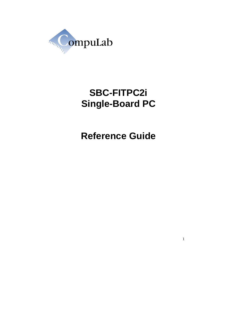

# **SBC-FITPC2i Single-Board PC**

**Reference Guide**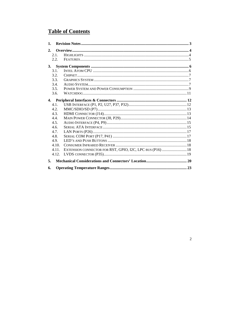# **Table of Contents**

| 1.             |       |                                                           |
|----------------|-------|-----------------------------------------------------------|
| 2 <sub>1</sub> |       |                                                           |
|                | 2.1.  |                                                           |
|                | 2.2.  |                                                           |
| 3.             |       |                                                           |
|                | 3.1.  |                                                           |
|                | 3.2.  |                                                           |
|                | 3.3.  |                                                           |
|                | 3.4.  |                                                           |
|                | 3.5.  |                                                           |
|                | 3.6.  |                                                           |
| 4.             |       |                                                           |
|                | 4.1.  |                                                           |
|                | 4.2.  |                                                           |
|                | 4.3.  |                                                           |
|                | 4.4.  |                                                           |
|                | 4.5.  |                                                           |
|                | 4.6.  |                                                           |
|                | 4.7.  |                                                           |
|                | 4.8.  |                                                           |
|                | 4.9.  |                                                           |
|                | 4.10. |                                                           |
|                | 4.11. | EXTENSION CONNECTOR FOR RST, GPIO, I2C, LPC BUS (P16)  18 |
|                | 4.12. |                                                           |
| 5.             |       |                                                           |
| 6.             |       |                                                           |

# $\overline{c}$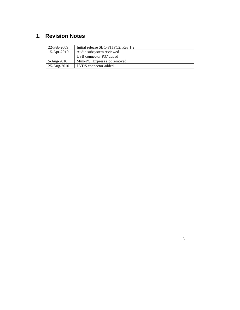# **1. Revision Notes**

| 22-Feb-2009 | Initial release SBC-FITPC2i Rev 1.2 |
|-------------|-------------------------------------|
| 15-Apr-2010 | Audio subsystem reviewed            |
|             | USB connector P37 added             |
| 5-Aug-2010  | Mini-PCI Express slot removed       |
| 25-Aug-2010 | LVDS connector added                |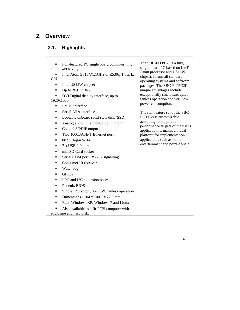# **2. Overview**

# **2.1. Highlights**

| Full-featured PC single board computer, tiny<br>and power saving<br>Intel Atom $Z510@1.1GHz$ or $Z530@1.6GHz$<br><b>CPU</b>                                                                                                                                                                                                                                                                                                                                                                                                                         | The SBC-FITPC2i is a tiny,<br>single board PC based on Intel's<br>Atom processor and US15W<br>chipset. It runs all standard<br>operating systems and software                                                                                                  |
|-----------------------------------------------------------------------------------------------------------------------------------------------------------------------------------------------------------------------------------------------------------------------------------------------------------------------------------------------------------------------------------------------------------------------------------------------------------------------------------------------------------------------------------------------------|----------------------------------------------------------------------------------------------------------------------------------------------------------------------------------------------------------------------------------------------------------------|
| Intel US15W chipset<br>٠<br>Up to 2GB DDR2<br>٠<br>DVI Digital display interface, up to<br>1920x1080<br>LVDS interface<br>٠                                                                                                                                                                                                                                                                                                                                                                                                                         | packages. The SBC-FITPC2i's<br>unique advantages include<br>exceptionally small size, quiet,<br>fanless operation and very low<br>power consumption.                                                                                                           |
| Serial ATA interface<br>٠<br>Bootable onboard solid-state disk (SSD)<br>٠<br>Analog audio: line input/output, mic in<br>٠<br>Coaxial S/PDIF output<br>٠<br>Two 1000BASE-T Ethernet port<br>٠<br>$802.11b/g/n$ WiFi<br>٠<br>7 x USB 2.0 ports<br>٠<br>miniSD Card socket<br>٠<br>Serial COM port, RS-232 signalling<br>٠<br>Consumer IR receiver<br>٠<br>Watchdog<br>٠<br><b>GPIOs</b><br>٠<br>LPC and I2C extension buses<br>٠<br>Phoenix BIOS<br>٠<br>Single 12V supply, 6-9.6W, fanless operation<br>٠<br>Dimensions - 104 x 100.7 x 22.9 mm<br>٠ | The rich feature set of the SBC-<br>FITPC2i is customizable<br>according to the price /<br>performance targets of the user's<br>application. It makes an ideal<br>platform for implementation<br>applications such as home<br>entertainment and point-of-sale. |
| Runs Windows XP, Windows 7 and Linux<br>٠<br>Also available as a fit-PC2i computer with                                                                                                                                                                                                                                                                                                                                                                                                                                                             |                                                                                                                                                                                                                                                                |
| enclosure and hard disk.                                                                                                                                                                                                                                                                                                                                                                                                                                                                                                                            |                                                                                                                                                                                                                                                                |

T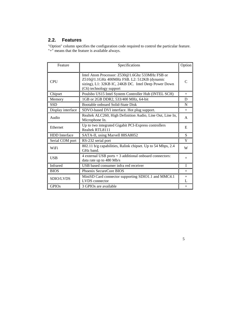# **2.2. Features**

"Option" column specifies the configuration code required to control the particular feature. "+" means that the feature is available always.

| Feature                                                                          | Specifications                                                                                                                                                                   |          |
|----------------------------------------------------------------------------------|----------------------------------------------------------------------------------------------------------------------------------------------------------------------------------|----------|
| <b>CPU</b>                                                                       | Intel Atom Processor: Z530@1.6Ghz 533MHz FSB or<br>Z510@1.1GHz 400MHz FSB. L2: 512KB (dynamic<br>sizing), L1: 32KB IC, 24KB DC. Intel Deep Power Down<br>(C6) technology support | C        |
| Chipset                                                                          | Poulsbo US15 Intel System Controller Hub (INTEL SCH)                                                                                                                             | $+$      |
| Memory                                                                           | 1GB or 2GB DDR2, 533/400 MHz, 64-bit                                                                                                                                             | D        |
| <b>SSD</b>                                                                       | Bootable onboard Solid-State Disk                                                                                                                                                | N        |
| Display interface                                                                | SDVO-based DVI interface. Hot plug support.                                                                                                                                      | $+$      |
| Audio                                                                            | Realtek ALC260, High Definition Audio, Line Out, Line In,<br>Microphone In.                                                                                                      | A        |
| Ethernet                                                                         | Up to two integrated Gigabit PCI-Express controllers<br>Realtek RTL8111                                                                                                          | E        |
| <b>HDD</b> Interface                                                             | SATA-II, using Marvell 88SA8052                                                                                                                                                  | S        |
| Serial COM port                                                                  | RS-232 serial port                                                                                                                                                               | Y        |
| 802.11 b/g capabilities, Ralink chipset. Up to 54 Mbps, 2.4<br>WiFi<br>GHz band. |                                                                                                                                                                                  | W        |
| <b>USB</b>                                                                       | 4 external USB ports + 3 additional onboard connectors:<br>data rate up to 480 Mb/s                                                                                              | $^{+}$   |
| <b>Infrared</b>                                                                  | USB based consumer infra red receiver                                                                                                                                            |          |
| <b>BIOS</b><br>Phoenix SecureCore BIOS                                           |                                                                                                                                                                                  | $+$      |
| SDIO/LVDS                                                                        | MiniSD Card connector supporting SDIO1.1 and MMC4.1<br>LVDS connector                                                                                                            | $+$<br>L |
| <b>GPIOs</b>                                                                     | 3 GPIOs are available                                                                                                                                                            | $+$      |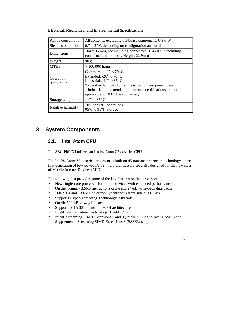| Active consumption       | All contents, excluding off-board components 6-9.6 W                                                                                                                                                                                                                                                  |
|--------------------------|-------------------------------------------------------------------------------------------------------------------------------------------------------------------------------------------------------------------------------------------------------------------------------------------------------|
| Sleep consumption        | 0.7-1.2 W, depending on configuration and mode                                                                                                                                                                                                                                                        |
| <b>Dimensions</b>        | $104 \times 96$ mm, not including connectors, $104 \times 100.7$ including<br>connectors and buttons. Height: 22.9mm                                                                                                                                                                                  |
| Weight                   | 90 g                                                                                                                                                                                                                                                                                                  |
| <b>MTBF</b>              | $> 100,000$ hours                                                                                                                                                                                                                                                                                     |
| Operation<br>temperature | Commercial: $0^{\circ}$ to $70^{\circ}$ C<br>Extended: $-20^{\circ}$ to $70^{\circ}$ C<br>Industrial: $-40^{\circ}$ to 85 $^{\circ}$ C<br>* specified for board only, measured on component case<br>* industrial and extended temperature certifications are not<br>applicable for RTC backup battery |
| Storage temperature      | -40 $\rm{^{\circ}}$ to 85 $\rm{^{\circ}}$ C                                                                                                                                                                                                                                                           |
| Relative humidity        | 10% to 90% (operation)<br>05% to 95% (storage)                                                                                                                                                                                                                                                        |

#### **Electrical, Mechanical and Environmental Specifications**

# **3. System Components**

### **3.1. Intel Atom CPU**

The SBC-FitPC2i utilizes an Intel® Atom Z5xx series CPU.

The Intel® Atom Z5xx series processor is built on 45-nanometer process technology — the first generation of low-power IA-32 micro-architecture specially designed for the new class of Mobile Internet Devices (MID).

The following list provides some of the key features on this processor:

- New single-core processor for mobile devices with enhanced performance
- On die, primary 32-kB instructions cache and 24-kB write-back data cache
- 100-MHz and 133-MHz Source-Synchronous front side bus (FSB)
- Supports Hyper-Threading Technology 2-threads
- On die 512-kB, 8-way L2 cache
- Support for IA 32-bit and Intel<sup>®</sup> 64 architecture
- Intel® Virtualization Technology (Intel® VT)
- Intel® Streaming SIMD Extensions 2 and 3 (Intel® SSE2 and Intel® SSE3) and Supplemental Streaming SIMD Extensions 3 (SSSE3) support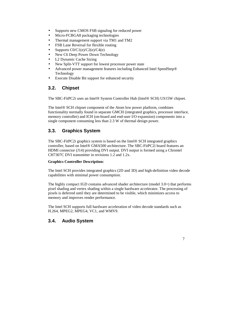- Supports new CMOS FSB signaling for reduced power
- Micro-FCBGA8 packaging technologies
- Thermal management support via TM1 and TM2
- FSB Lane Reversal for flexible routing
- Supports  $CO/C1(e)/C2(e)/C4(e)$
- New C6 Deep Power Down Technology
- L2 Dynamic Cache Sizing
- New Split-VTT support for lowest processor power state
- Advanced power management features including Enhanced Intel SpeedStep® Technology
- Execute Disable Bit support for enhanced security

# **3.2. Chipset**

The SBC-FitPC2i uses an Intel® System Controller Hub (Intel® SCH) US15W chipset.

The Intel® SCH chipset component of the Atom low power platform, combines functionality normally found in separate GMCH (integrated graphics, processor interface, memory controller) and ICH (on-board and end-user I/O expansion) components into a single component consuming less than 2.3 W of thermal design power.

# **3.3. Graphics System**

The SBC-FitPC2i graphics system is based on the Intel® SCH integrated graphics controller, based on Intel® GMA500 architecture. The SBC-FitPC2i board features an HDMI connector (J14) providing DVI output. DVI output is formed using a Chrontel CH7307C DVI transmitter in revisions 1.2 and 1.2x.

#### **Graphics Controller Description:**

The Intel SCH provides integrated graphics (2D and 3D) and high-definition video decode capabilities with minimal power consumption.

The highly compact IGD contains advanced shader architecture (model 3.0+) that performs pixel shading and vertex shading within a single hardware accelerator. The processing of pixels is deferred until they are determined to be visible, which minimizes access to memory and improves render performance.

The Intel SCH supports full hardware acceleration of video decode standards such as H.264, MPEG2, MPEG4, VC1, and WMV9.

# **3.4. Audio System**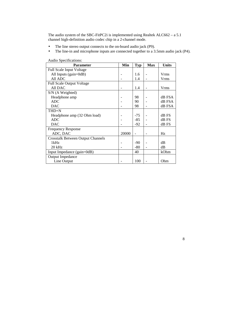The audio system of the SBC-FitPC2i is implemented using Realtek ALC662 – a 5.1 channel high-definition audio codec chip in a 2-channel mode.

- The line stereo output connects to the on-board audio jack (P9).
- The line-in and microphone inputs are connected together to a 3.5mm audio jack (P4).

| <b>Parameter</b>                         | Min   | <b>Typ</b> | <b>Max</b> | <b>Units</b> |
|------------------------------------------|-------|------------|------------|--------------|
| <b>Full Scale Input Voltage</b>          |       |            |            |              |
| All Inputs $(gain=0dB)$                  |       | 1.6        |            | Vrms         |
| All ADC                                  |       | 1.4        |            | <b>Vrms</b>  |
| <b>Full Scale Output Voltage</b>         |       |            |            |              |
| All DAC                                  |       | 1.4        |            | <b>Vrms</b>  |
| S/N (A Weighted)                         |       |            |            |              |
| Headphone amp                            |       | 98         |            | dB FSA       |
| <b>ADC</b>                               |       | 90         |            | dB FSA       |
| <b>DAC</b>                               |       | 98         |            | dB FSA       |
| THD+N                                    |       |            |            |              |
| Headphone amp (32 Ohm load)              |       | -75        |            | dB FS        |
| <b>ADC</b>                               |       | $-85$      |            | dB FS        |
| <b>DAC</b>                               |       | -92        |            | dB FS        |
| <b>Frequency Response</b>                |       |            |            |              |
| ADC, DAC                                 | 20000 |            |            | Hz           |
| <b>Crosstalk Between Output Channels</b> |       |            |            |              |
| 1kHz                                     |       | $-90$      |            | dB           |
| $20$ kHz                                 |       | $-80$      |            | dB           |
| Input Impedance (gain=0dB)               |       | 40         |            | kOhm         |
| <b>Output Impedance</b>                  |       |            |            |              |
| Line Output                              |       | 100        |            | Ohm          |

Audio Specifications: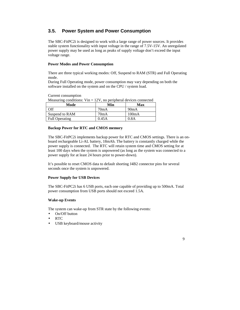### **3.5. Power System and Power Consumption**

The SBC-FitPC2i is designed to work with a large range of power sources. It provides stable system functionality with input voltage in the range of 7.5V-15V. An unregulated power supply may be used as long as peaks of supply voltage don't exceed the input voltage range.

#### **Power Modes and Power Consumption**

There are three typical working modes: Off, Suspend to RAM (STR) and Full Operating mode.

During Full Operating mode, power consumption may vary depending on both the software installed on the system and on the CPU / system load.

Current consumption

| Measuring conditions: $V$ in = 12V, no peripheral devices connected |  |  |  |
|---------------------------------------------------------------------|--|--|--|
|---------------------------------------------------------------------|--|--|--|

| Mode                  | Min   | Max   |
|-----------------------|-------|-------|
| Off                   | 70mA  | 90mA  |
| Suspend to RAM        | 70mA  | 100mA |
| <b>Full Operating</b> | 0.45A | 0.8A  |

#### **Backup Power for RTC and CMOS memory**

The SBC-FitPC2i implements backup power for RTC and CMOS settings. There is an onboard rechargeable Li-AL battery, 18mAh. The battery is constantly charged while the power supply is connected. The RTC will retain system time and CMOS setting for at least 100 days when the system is unpowered (as long as the system was connected to a power supply for at least 24 hours prior to power-down).

It's possible to reset CMOS data to default shorting J4B2 connector pins for several seconds once the system is unpowered.

#### **Power Supply for USB Devices**

The SBC-FitPC2i has 6 USB ports, each one capable of providing up to 500mA. Total power consumption from USB ports should not exceed 1.5A.

#### **Wake-up Events**

The system can wake-up from STR state by the following events:

- On/Off button
- RTC
- USB keyboard/mouse activity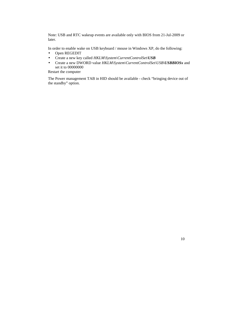Note: USB and RTC wakeup events are available only with BIOS from 21-Jul-2009 or later.

In order to enable wake on USB keyboard / mouse in Windows XP, do the following:

- Open REGEDIT
- Create a new key called *HKLM\System\CurrentControlSet\USB*
- Create a new DWORD value *HKLM\System\CurrentControlSet\USB\USBBIOSx* and set it to 00000000

Restart the computer

The Power management TAB in HID should be available - check "bringing device out of the standby" option.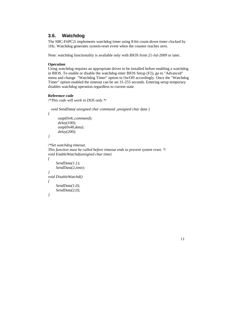### **3.6. Watchdog**

The SBC-FitPC2i implements watchdog timer using 8-bit count-down timer clocked by 1Hz. Watchdog generates system-reset event when the counter reaches zero.

Note: watchdog functionality is available only with BIOS from 21-Jul-2009 or later.

#### **Operation**

Using watchdog requires an appropriate driver to be installed before enabling a watchdog in BIOS. To enable or disable the watchdog enter BIOS Setup (F2), go to "Advanced" menu and change "Watchdog Timer" option to On/Off accordingly. Once the "Watchdog Timer" option enabled the timeout can be set 31-255 seconds. Entering setup temporary disables watchdog operation regardless to current state.

#### **Reference code**

*/\*This code will work in DOS only.\*/* 

```
 void SendData( unsigned char command ,unsigned char data ) 
{ 
       outp(0x4c,command); 
       delay(100); 
       outp(0x48,data); 
       delay(200); 
} 
/*Set watchdog timeout. 
This function must be called before timeout ends to prevent system reset. */ 
void EnableWatchd(unsigned char time) 
{ 
      SendData(1,1); 
      SendData(2,time); 
} 
void DisableWatchd() 
{
```
 *SendData(1,0); SendData(2,0);* 

```
}
```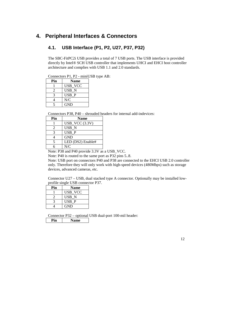# **4. Peripheral Interfaces & Connectors**

### **4.1. USB Interface (P1, P2, U27, P37, P32)**

The SBC-FitPC2i USB provides a total of 7 USB ports. The USB interface is provided directly by Intel® SCH USB controller that implements UHCI and EHCI host controller architecture and complies with USB 1.1 and 2.0 standards.

Connectors P1, P2 - miniUSB type AB:

| Pin                       | <b>Name</b> |
|---------------------------|-------------|
|                           | USB VCC     |
| 2                         | USB N       |
| $\boldsymbol{\mathsf{R}}$ | USB P       |
| 4                         | N/C         |
|                           | <b>GND</b>  |

Connectors P38, P40 – shrouded headers for internal add-indevices:

| Pin                         | <b>Name</b>       |
|-----------------------------|-------------------|
|                             | $USB_VCC$ (3.3V)  |
| $\mathcal{D}_{\mathcal{A}}$ | USB N             |
| 3                           | USB P             |
|                             | <b>GND</b>        |
| 5                           | LED (DS2) Enable# |
|                             | N/C               |

Note: P38 and P40 provide 3.3V as a USB\_VCC.

Note: P40 is routed to the same port as P32 pins 5..8.

Note: USB port on connectors P40 and P38 are connected to the EHCI USB 2.0 controller only. Therefore they will only work with high-speed devices (480Mbps) such as storage devices, advanced cameras, etc.

Connector U27 – USB, dual stacked type A connector. Optionally may be installed lowprofile single USB connector P37.

| Pin | <b>Name</b>    |
|-----|----------------|
|     | <b>USB_VCC</b> |
|     | USB N          |
|     | USB P          |
|     | <b>GND</b>     |

Connector P32 – optional USB dual-port 100-mil header: **Pin Name**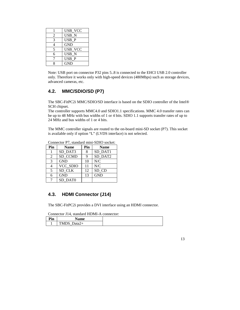|   | USB VCC          |
|---|------------------|
| 2 | USB N            |
| 3 | USB P            |
| 4 | GND              |
| 5 | USB VCC          |
| 6 | USB <sub>N</sub> |
|   | USB P            |
|   | GND              |

Note: USB port on connector P32 pins 5..8 is connected to the EHCI USB 2.0 controller only. Therefore it works only with high-speed devices (480Mbps) such as storage devices, advanced cameras, etc.

# **4.2. MMC/SDIO/SD (P7)**

The SBC-FitPC2i MMC/SDIO/SD interface is based on the SDIO controller of the Intel® SCH chipset.

The controller supports MMC4.0 and SDIO1.1 specifications. MMC 4.0 transfer rates can be up to 48 MHz with bus widths of 1 or 4 bits. SDIO 1.1 supports transfer rates of up to 24 MHz and bus widths of 1 or 4 bits.

The MMC controller signals are routed to the on-board mini-SD socket (P7). This socket is available only if option "L" (LVDS interface) is not selected.

| Pin | <b>Name</b> | Pin | <b>Name</b> |
|-----|-------------|-----|-------------|
|     | SD DAT3     | 8   | SD DAT1     |
| 2   | SD CCMD     |     | SD DAT2     |
| 3   | <b>GND</b>  | 10  | N/C         |
|     | VCC_SDIO    | 11  | N/C         |
| 5   | SD CLK      | 12  | SD CD       |
| 6   | <b>GND</b>  | 13  | <b>GND</b>  |
|     | SD DAT0     |     |             |

Connector P7, standard mini-SDIO socket:

# **4.3. HDMI Connector (J14)**

The SBC-FitPC2i provides a DVI interface using an HDMI connector.

Connector J14, standard HDMI-A connector: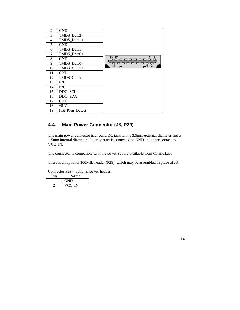| 2              | <b>GND</b>      |       |
|----------------|-----------------|-------|
| 3              | TMDS_Data2-     |       |
| $\overline{4}$ | TMDS_Data1+     |       |
| 5              | <b>GND</b>      |       |
| 6              | TMDS_Data1-     |       |
| 7              | TMDS_Data0+     |       |
| 8              | <b>GND</b>      | 19_1Z |
| 9              | TMDS_Data0-     | 遠     |
| 10             | TMDS_Clock+     |       |
| 11             | <b>GND</b>      |       |
| 12             | TMDS_Clock-     |       |
| 13             | N/C             |       |
| 14             | N/C             |       |
| 15             | DDC_SCL         |       |
| 16             | DDC SDA         |       |
| 17             | <b>GND</b>      |       |
| 18             | $+5$ V          |       |
| 19             | Hot_Plug_Detect |       |

# **4.4. Main Power Connector (J8, P29)**

The main power connector is a round DC jack with a 3.9mm external diameter and a 1.5mm internal diameter. Outer contact is connected to GND and inner contact to VCC\_IN.

The connector is compatible with the power supply available from CompuLab.

There is an optional 100MIL header (P29), which may be assembled in place of J8.

| <b>Name</b> |
|-------------|
| GND         |
| 'C IN       |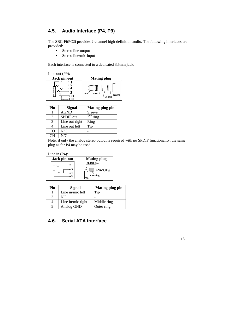# **4.5. Audio Interface (P4, P9)**

The SBC-FitPC2i provides 2-channel high-definition audio. The following interfaces are provided:

- Stereo line output
- Stereo line/mic input

Each interface is connected to a dedicated 3.5mm jack.



| Pin           | Signal           | <b>Mating plug pin</b> |
|---------------|------------------|------------------------|
|               | <b>AGND</b>      | Sleeve                 |
|               | <b>SPDIF</b> out | $2nd$ ring             |
| $\mathcal{F}$ | Line out right   | Ring                   |
|               | Line out left    | Tip                    |
| CO            | N/C              |                        |
| $\cap$ N      | N/C              |                        |

Note: if only the analog stereo output is required with no SPDIF functionality, the same plug as for P4 may be used.

Line in (P4):

| Jack pin-out | <b>Mating plug</b> |
|--------------|--------------------|
| ۰O           | Middle ring        |
| 3 ه          | 2.5mm plug         |
| $^{\circ}$   | Outer ring         |
| 5ه           | m:                 |

| Pin | Signal            | <b>Mating plug pin</b> |
|-----|-------------------|------------------------|
|     | Line in/mic left  | $T_{1D}$               |
|     | NC.               |                        |
|     | Line in/mic right | Middle ring            |
|     | Analog GND        | Outer ring             |

# **4.6. Serial ATA Interface**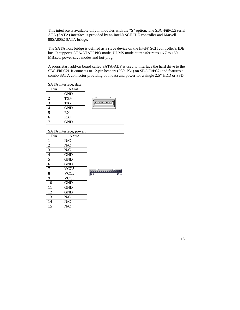This interface is available only in modules with the "S" option. The SBC-FitPC2i serial ATA (SATA) interface is provided by an Intel® SCH IDE controller and Marvell 88SA8052 SATA bridge.

The SATA host bridge is defined as a slave device on the Intel® SCH controller's IDE bus. It supports ATA/ATAPI PIO mode, UDMS mode at transfer rates 16.7 to 150 MB/sec, power-save modes and hot-plug.

A proprietary add-on board called SATA-ADP is used to interface the hard drive to the SBC-FitPC2i. It connects to 12-pin headers (P30, P31) on SBC-FitPC2i and features a combo SATA connector providing both data and power for a single 2.5" HDD or SSD.

SATA interface, data:

| Pin          | <b>Name</b> |         |
|--------------|-------------|---------|
|              | <b>GND</b>  |         |
|              | $TX+$       |         |
| $\mathbf{z}$ | TX-         | nnnnnnn |
|              | <b>GND</b>  |         |
|              | RX-         |         |
|              | $RX+$       |         |
|              | <b>GND</b>  |         |

#### SATA interface, power:

| Pin            | , <b></b><br><b>Name</b> |                     |
|----------------|--------------------------|---------------------|
| 1              | N/C                      |                     |
| $\overline{2}$ | N/C                      |                     |
| $\overline{3}$ | N/C                      |                     |
| $\overline{4}$ | GND                      |                     |
| $\overline{5}$ | <b>GND</b>               |                     |
| 6              | <b>GND</b>               |                     |
| $\tau$         | VCC <sub>5</sub>         | 00000000000000      |
| 8              | VCC <sub>5</sub>         | $\sqrt{12}$<br>1415 |
| 9              | VCC <sub>5</sub>         |                     |
| 10             | <b>GND</b>               |                     |
| 11             | <b>GND</b>               |                     |
| 12             | <b>GND</b>               |                     |
| 13             | N/C                      |                     |
| 14             | N/C                      |                     |
| 15             | ${\rm N\hspace{-1pt}}/C$ |                     |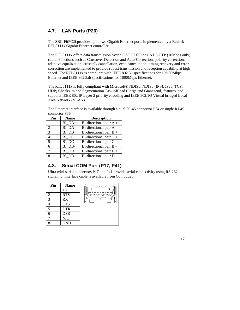# **4.7. LAN Ports (P26)**

The SBC-FitPC2i provides up to two Gigabit Ethernet ports implemented by a Realtek RTL8111x Gigabit Ethernet controller.

The RTL8111x offers data transmission over a CAT 5 UTP or CAT 3 UTP (10Mbps only) cable. Functions such as Crossover Detection and Auto-Correction, polarity correction, adaptive equalization, crosstalk cancellation, echo cancellation, timing recovery and error correction are implemented to provide robust transmission and reception capability at high speed. The RTL8111x is compliant with IEEE 802.3u specifications for 10/100Mbps Ethernet and IEEE 802.3ab specifications for 1000Mbps Ethernet.

The RTL8111x is fully compliant with Microsoft® NDIS5, NDIS6 (IPv4, IPv6, TCP, UDP) Checksum and Segmentation Task-offload (Large and Giant send) features, and supports IEEE 802 IP Layer 2 priority encoding and IEEE 802.1Q Virtual bridged Local Area Network (VLAN).

| Pin | <b>Name</b> | <b>Description</b>        |
|-----|-------------|---------------------------|
|     | $BI$ $DA+$  | Bi-directional pair $A +$ |
| 2   | BI DA-      | Bi-directional pair A -   |
| 3   | BI DB+      | Bi-directional pair $B +$ |
| 4   | $BI$ $DC+$  | Bi-directional pair $C +$ |
| 5   | BI DC-      | Bi-directional pair C -   |
| 6   | BI DB-      | Bi-directional pair B -   |
| 7   | BI DD+      | Bi-directional pair $D +$ |
| 8   | BI DD-      | Bi-directional pair D -   |

The Ethernet interface is available through a dual RJ-45 connector P34 or single RJ-45 connector P36.

# **4.8. Serial COM Port (P17, P41)**

Ultra mini serial connectors P17 and P41 provide serial connectivity using RS-232 signaling. Interface cable is available from CompuLab.

| Pin | <b>Name</b> |   |
|-----|-------------|---|
|     | <b>TX</b>   | 8 |
| 2   | <b>RTS</b>  |   |
| 3   | RX          |   |
|     | <b>CTS</b>  |   |
| 5   | <b>DTR</b>  |   |
| 6   | <b>DSR</b>  |   |
|     | ${\rm N/C}$ |   |
| O   | <b>GND</b>  |   |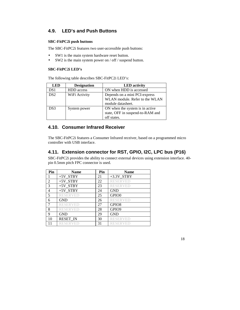# **4.9. LED's and Push Buttons**

#### **SBC-FitPC2i push buttons**

The SBC-FitPC2i features two user-accessible push buttons:

- SW1 is the main system hardware reset button.
- SW2 is the main system power on / off / suspend button.

#### **SBC-FitPC2i LED's**

The following table describes SBC-FitPC2i LED's:

| <b>LED</b>      | <b>Designation</b> | <b>LED</b> activity                                                                  |
|-----------------|--------------------|--------------------------------------------------------------------------------------|
| DS1             | <b>HDD</b> access  | ON when HDD is accessed                                                              |
| DS <sub>2</sub> | WiFi Activity      | Depends on a mini PCI-express<br>WLAN module. Refer to the WLAN<br>module datasheet. |
| DS3             | System power       | ON when the system is in active<br>state, OFF in suspend-to-RAM and<br>off states.   |

# **4.10. Consumer Infrared Receiver**

The SBC-FitPC2i features a Consumer Infrared receiver, based on a programmed micro controller with USB interface.

# **4.11. Extension connector for RST, GPIO, I2C, LPC bus (P16)**

SBC-FitPC2i provides the ability to connect external devices using extension interface. 40 pin 0.5mm pitch FPC connector is used.

| Pin            | <b>Name</b>     | Pin | <b>Name</b>              |
|----------------|-----------------|-----|--------------------------|
|                | $+5V_TSTBY$     | 21  | $+3.3V$ <sub>_STBY</sub> |
| 2              | $+5V_STBY$      | 22  | <b>RESERVED</b>          |
| 3              | $+5V$ STBY      | 23  | <b>RESERVED</b>          |
| $\overline{4}$ | $+5V$ STBY      | 24  | <b>GND</b>               |
| 5              | <b>RESERVED</b> | 25  | GPIO0                    |
| 6              | <b>GND</b>      | 26  | <b>RESERVED</b>          |
| $\overline{7}$ | <b>RESERVED</b> | 27  | GPIO <sub>8</sub>        |
| 8              | <b>RESERVED</b> | 28  | GPIO <sub>9</sub>        |
| 9              | <b>GND</b>      | 29  | <b>GND</b>               |
| 10             | <b>RESET_IN</b> | 30  | <b>RESERVED</b>          |
|                | RESER VED       | 31  | <b>RESERVED</b>          |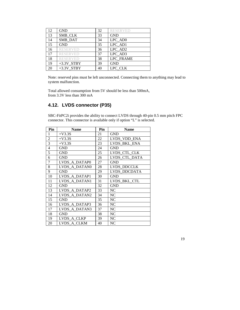| 12 | <b>GND</b>      | 32 | <b>RESERVED</b> |
|----|-----------------|----|-----------------|
| 13 | SMB CLK         | 33 | <b>GND</b>      |
| 14 | SMB DAT         | 34 | LPC_AD0         |
| 15 | <b>GND</b>      | 35 | LPC AD1         |
| 16 | <b>RESERVED</b> | 36 | LPC AD2         |
| 17 | <b>RESERVED</b> | 37 | LPC AD3         |
| 18 | <b>RESERVED</b> | 38 | LPC FRAME       |
| 19 | $+3.3V$ STBY    | 39 | <b>GND</b>      |
| 20 | $+3.3V$ STBY    | 40 | LPC CLK         |

Note: reserved pins must be left unconnected. Connecting them to anything may lead to system malfunction.

Total allowed consumption from 5V should be less than 500mA, from 3.3V less than 300 mA

# **4.12. LVDS connector (P35)**

SBC-FitPC2i provides the ability to connect LVDS through 40-pin 0.5 mm pitch FPC connector. This connector is available only if option "L" is selected.

| Pin            | <b>Name</b>   | Pin | <b>Name</b>    |
|----------------|---------------|-----|----------------|
| 1              | $+V3.3S$      | 21  | <b>GND</b>     |
| $\overline{c}$ | $+V3.3S$      | 22  | LVDS VDD ENA   |
| 3              | $+V3.3S$      | 23  | LVDS_BKL_ENA   |
| $\overline{4}$ | <b>GND</b>    | 24  | <b>GND</b>     |
| 5              | <b>GND</b>    | 25  | LVDS_CTL_CLK   |
| 6              | <b>GND</b>    | 26  | LVDS_CTL_DATA  |
| 7              | LVDS A DATAP0 | 27  | <b>GND</b>     |
| 8              | LVDS A DATAN0 | 28  | LVDS DDCCLK    |
| 9              | <b>GND</b>    | 29  | LVDS DDCDATA   |
| 10             | LVDS A DATAP1 | 30  | <b>GND</b>     |
| 11             | LVDS A DATAN1 | 31  | LVDS_BKL_CTL   |
| 12             | <b>GND</b>    | 32  | <b>GND</b>     |
| 13             | LVDS A DATAP2 | 33  | NC             |
| 14             | LVDS A DATAN2 | 34  | NC.            |
| 15             | <b>GND</b>    | 35  | <b>NC</b>      |
| 16             | LVDS A DATAP3 | 36  | NC             |
| 17             | LVDS A DATAN3 | 37  | NC             |
| 18             | <b>GND</b>    | 38  | NC             |
| 19             | LVDS A CLKP   | 39  | NC             |
| 20             | LVDS A CLKM   | 40  | N <sub>C</sub> |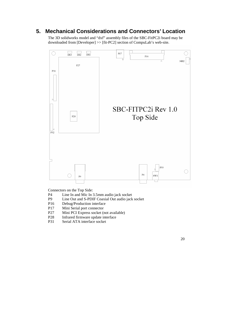# **5. Mechanical Considerations and Connectors' Location**

The 3D solidworks model and "dxf" assembly files of the SBC-FitPC2i board may be downloaded from [Developer] >> [fit-PC2] section of CompuLab's web-site.



Connectors on the Top Side:

- P4 Line In and Mic In 3.5mm audio jack socket
- P9 Line Out and S-PDIF Coaxial Out audio jack socket
- P16 Debug/Production interface<br>P17 Mini Serial port connector
- Mini Serial port connector
- P27 Mini PCI Express socket (not available)
- P28 Infrared firmware update interface<br>P31 Serial ATA interface socket
- Serial ATA interface socket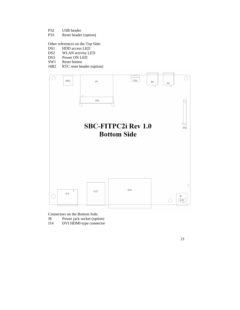- P32 USB header<br>P33 Reset header
- Reset header (option)

Other references on the Top Side:<br>DS1 HDD access LED

- HDD access LED
- DS2 WLAN activity LED<br>DS3 Power ON LED
- DS3 Power ON LED<br>SW1 Reset button
- Reset button
- J4B2 RTC reset header (option)



Connectors on the Bottom Side:

- J8 Power jack socket (option)
- J14 DVI HDMI-type connector

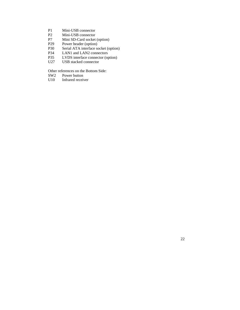- P1 Mini-USB connector<br>P2 Mini-USB connector
- P2 Mini-USB connector<br>P7 Mini SD-Card socket
- P7 Mini SD-Card socket (option)<br>P29 Power header (option)
- P29 Power header (option)<br>P30 Serial ATA interface so
- Serial ATA interface socket (option)
- P34 LAN1 and LAN2 connectors<br>P35 LVDS interface connector (op
- P35 LVDS interface connector (option)<br>U27 USB stacked connector
- USB stacked connector

Other references on the Bottom Side:<br>SW2 Power button

SW2 Power button<br>U10 Infrared receive

Infrared receiver